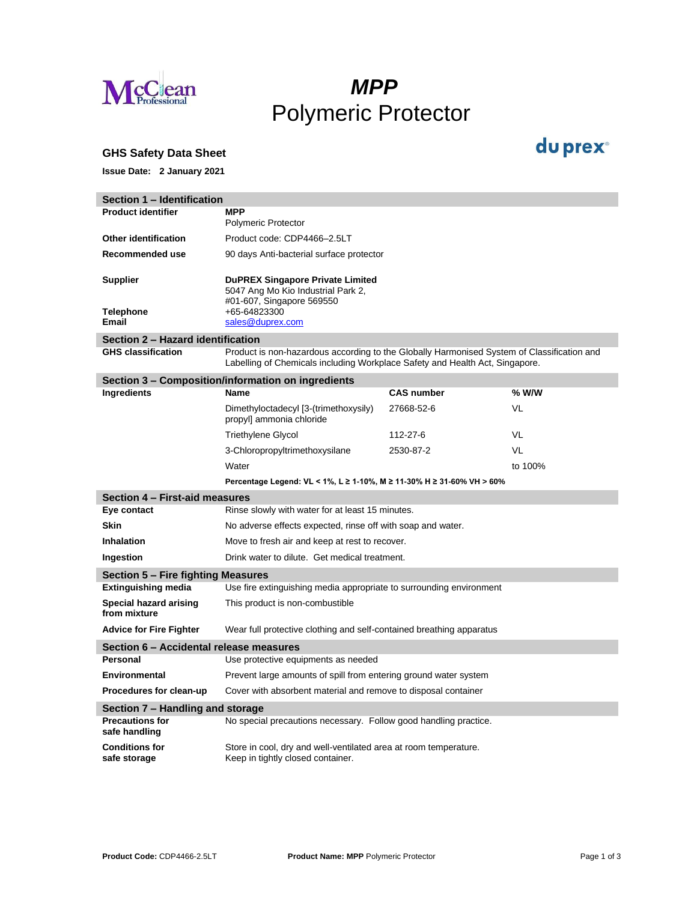

# *MPP* Polymeric Protector

#### **GHS Safety Data Sheet**

**Issue Date: 2 January 2021**

| Section 1 - Identification                   |                                                                                                                                                                            |                   |           |  |
|----------------------------------------------|----------------------------------------------------------------------------------------------------------------------------------------------------------------------------|-------------------|-----------|--|
| <b>Product identifier</b>                    | <b>MPP</b><br><b>Polymeric Protector</b>                                                                                                                                   |                   |           |  |
| <b>Other identification</b>                  | Product code: CDP4466-2.5LT                                                                                                                                                |                   |           |  |
| Recommended use                              | 90 days Anti-bacterial surface protector                                                                                                                                   |                   |           |  |
| <b>Supplier</b><br><b>Telephone</b><br>Email | <b>DuPREX Singapore Private Limited</b><br>5047 Ang Mo Kio Industrial Park 2,<br>#01-607, Singapore 569550<br>+65-64823300<br>sales@duprex.com                             |                   |           |  |
| Section 2 - Hazard identification            |                                                                                                                                                                            |                   |           |  |
| <b>GHS classification</b>                    | Product is non-hazardous according to the Globally Harmonised System of Classification and<br>Labelling of Chemicals including Workplace Safety and Health Act, Singapore. |                   |           |  |
|                                              | Section 3 - Composition/information on ingredients                                                                                                                         |                   |           |  |
| Ingredients                                  | Name                                                                                                                                                                       | <b>CAS number</b> | $%$ W/W   |  |
|                                              | Dimethyloctadecyl [3-(trimethoxysily)<br>propyl] ammonia chloride                                                                                                          | 27668-52-6        | VL        |  |
|                                              | <b>Triethylene Glycol</b>                                                                                                                                                  | 112-27-6          | VL        |  |
|                                              | 3-Chloropropyltrimethoxysilane                                                                                                                                             | 2530-87-2         | <b>VL</b> |  |
|                                              | Water                                                                                                                                                                      |                   | to 100%   |  |
|                                              | Percentage Legend: VL < 1%, L ≥ 1-10%, M ≥ 11-30% H ≥ 31-60% VH > 60%                                                                                                      |                   |           |  |
| Section 4 - First-aid measures               |                                                                                                                                                                            |                   |           |  |
| Eye contact                                  | Rinse slowly with water for at least 15 minutes.                                                                                                                           |                   |           |  |
| <b>Skin</b>                                  | No adverse effects expected, rinse off with soap and water.                                                                                                                |                   |           |  |
| <b>Inhalation</b>                            | Move to fresh air and keep at rest to recover.                                                                                                                             |                   |           |  |
| Ingestion                                    | Drink water to dilute. Get medical treatment.                                                                                                                              |                   |           |  |
| Section 5 – Fire fighting Measures           |                                                                                                                                                                            |                   |           |  |
| <b>Extinguishing media</b>                   | Use fire extinguishing media appropriate to surrounding environment                                                                                                        |                   |           |  |
| Special hazard arising<br>from mixture       | This product is non-combustible                                                                                                                                            |                   |           |  |
| <b>Advice for Fire Fighter</b>               | Wear full protective clothing and self-contained breathing apparatus                                                                                                       |                   |           |  |
| Section 6 – Accidental release measures      |                                                                                                                                                                            |                   |           |  |
| Personal                                     | Use protective equipments as needed                                                                                                                                        |                   |           |  |
| Environmental                                | Prevent large amounts of spill from entering ground water system                                                                                                           |                   |           |  |
| Procedures for clean-up                      | Cover with absorbent material and remove to disposal container                                                                                                             |                   |           |  |
| Section 7 – Handling and storage             |                                                                                                                                                                            |                   |           |  |
| <b>Precautions for</b><br>safe handling      | No special precautions necessary. Follow good handling practice.                                                                                                           |                   |           |  |
| <b>Conditions for</b><br>safe storage        | Store in cool, dry and well-ventilated area at room temperature.<br>Keep in tightly closed container.                                                                      |                   |           |  |

I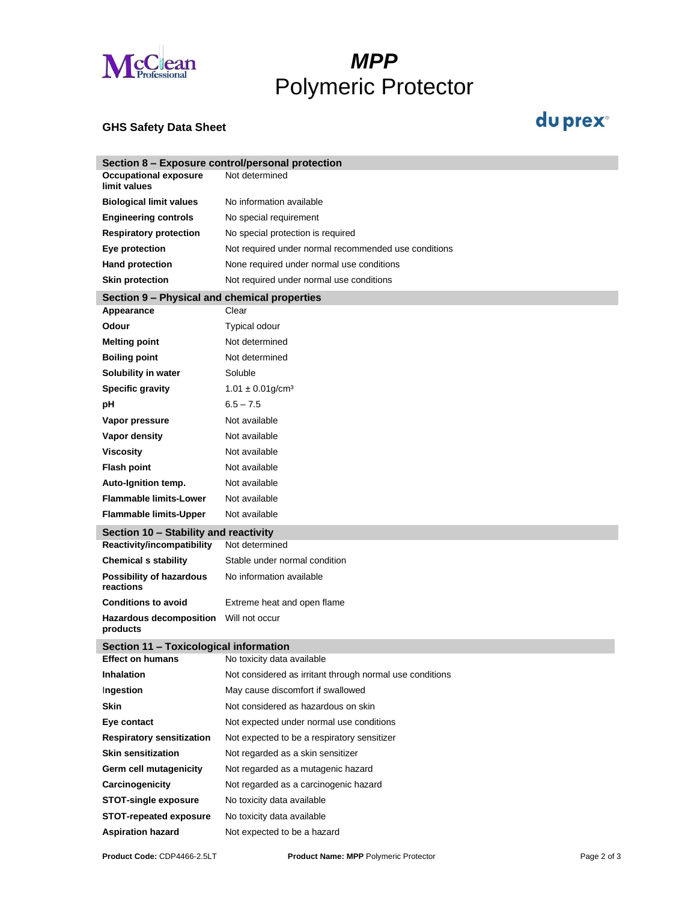

# *MPP* Polymeric Protector

### **GHS Safety Data Sheet**

### du prex<sup>®</sup>

|                                              | Section 8 – Exposure control/personal protection         |  |  |  |
|----------------------------------------------|----------------------------------------------------------|--|--|--|
| <b>Occupational exposure</b><br>limit values | Not determined                                           |  |  |  |
| <b>Biological limit values</b>               | No information available                                 |  |  |  |
| <b>Engineering controls</b>                  | No special requirement                                   |  |  |  |
| <b>Respiratory protection</b>                | No special protection is required                        |  |  |  |
| Eye protection                               | Not required under normal recommended use conditions     |  |  |  |
| <b>Hand protection</b>                       | None required under normal use conditions                |  |  |  |
| <b>Skin protection</b>                       | Not required under normal use conditions                 |  |  |  |
| Section 9 - Physical and chemical properties |                                                          |  |  |  |
| Appearance                                   | Clear                                                    |  |  |  |
| Odour                                        | Typical odour                                            |  |  |  |
| <b>Melting point</b>                         | Not determined                                           |  |  |  |
| <b>Boiling point</b>                         | Not determined                                           |  |  |  |
| Solubility in water                          | Soluble                                                  |  |  |  |
| <b>Specific gravity</b>                      | $1.01 \pm 0.01$ g/cm <sup>3</sup>                        |  |  |  |
| pH                                           | $6.5 - 7.5$                                              |  |  |  |
| Vapor pressure                               | Not available                                            |  |  |  |
| Vapor density                                | Not available                                            |  |  |  |
| <b>Viscosity</b>                             | Not available                                            |  |  |  |
| <b>Flash point</b>                           | Not available                                            |  |  |  |
| Auto-Ignition temp.                          | Not available                                            |  |  |  |
| <b>Flammable limits-Lower</b>                | Not available                                            |  |  |  |
| <b>Flammable limits-Upper</b>                | Not available                                            |  |  |  |
| Section 10 - Stability and reactivity        |                                                          |  |  |  |
| Reactivity/incompatibility                   | Not determined                                           |  |  |  |
| <b>Chemical s stability</b>                  | Stable under normal condition                            |  |  |  |
| <b>Possibility of hazardous</b><br>reactions | No information available                                 |  |  |  |
| <b>Conditions to avoid</b>                   | Extreme heat and open flame                              |  |  |  |
| <b>Hazardous decomposition</b><br>products   | Will not occur                                           |  |  |  |
| Section 11 - Toxicological information       |                                                          |  |  |  |
| <b>Effect on humans</b>                      | No toxicity data available                               |  |  |  |
| <b>Inhalation</b>                            | Not considered as irritant through normal use conditions |  |  |  |
| Ingestion                                    | May cause discomfort if swallowed                        |  |  |  |
| Skin                                         | Not considered as hazardous on skin                      |  |  |  |
| Eye contact                                  | Not expected under normal use conditions                 |  |  |  |
| <b>Respiratory sensitization</b>             | Not expected to be a respiratory sensitizer              |  |  |  |
| <b>Skin sensitization</b>                    | Not regarded as a skin sensitizer                        |  |  |  |
| Germ cell mutagenicity                       | Not regarded as a mutagenic hazard                       |  |  |  |
| Carcinogenicity                              | Not regarded as a carcinogenic hazard                    |  |  |  |
| <b>STOT-single exposure</b>                  | No toxicity data available                               |  |  |  |
| <b>STOT-repeated exposure</b>                | No toxicity data available                               |  |  |  |
| <b>Aspiration hazard</b>                     | Not expected to be a hazard                              |  |  |  |